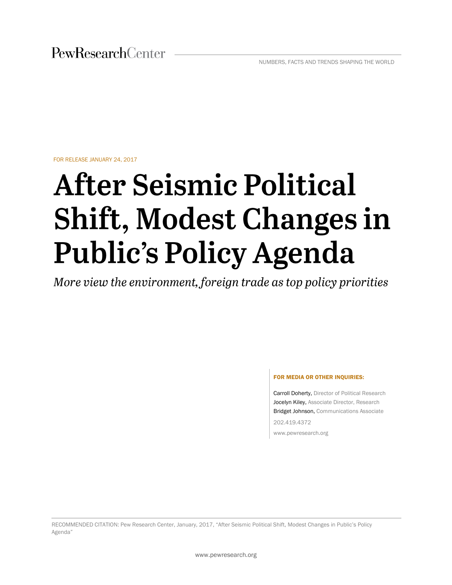FOR RELEASE JANUARY 24, 2017

# **After Seismic Political Shift, Modest Changes in Public's Policy Agenda**

More view the environment, foreign trade as top policy priorities

#### FOR MEDIA OR OTHER INQUIRIES:

Carroll Doherty, Director of Political Research Jocelyn Kiley, Associate Director, Research Bridget Johnson, Communications Associate 202.419.4372

www.pewresearch.org

RECOMMENDED CITATION: Pew Research Center, January, 2017, "After Seismic Political Shift, Modest Changes in Public's Policy Agenda"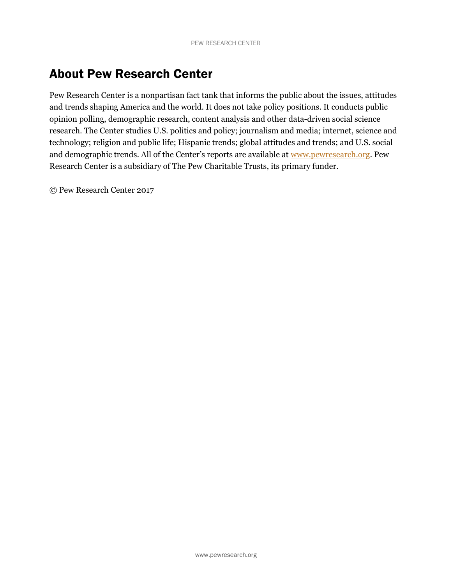# About Pew Research Center

Pew Research Center is a nonpartisan fact tank that informs the public about the issues, attitudes and trends shaping America and the world. It does not take policy positions. It conducts public opinion polling, demographic research, content analysis and other data-driven social science research. The Center studies U.S. politics and policy; journalism and media; internet, science and technology; religion and public life; Hispanic trends; global attitudes and trends; and U.S. social and demographic trends. All of the Center's reports are available at [www.pewresearch.org.](http://www.pewresearch.org/) Pew Research Center is a subsidiary of The Pew Charitable Trusts, its primary funder.

© Pew Research Center 2017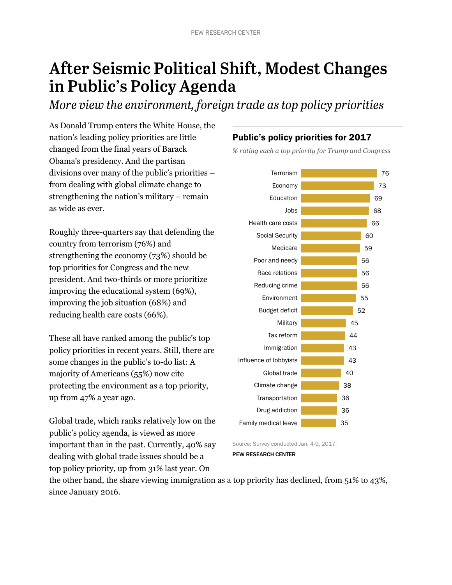# After Seismic Political Shift, Modest Changes in Public's Policy Agenda

More view the environment, foreign trade as top policy priorities

As Donald Trump enters the White House, the nation's leading policy priorities are little changed from the final years of Barack Obama's presidency. And the partisan divisions over many of the public's priorities – from dealing with global climate change to strengthening the nation's military – remain as wide as ever.

Roughly three-quarters say that defending the country from terrorism (76%) and strengthening the economy (73%) should be top priorities for Congress and the new president. And two-thirds or more prioritize improving the educational system (69%), improving the job situation (68%) and reducing health care costs (66%).

These all have ranked among the public's top policy priorities in recent years. Still, there are some changes in the public's to-do list: A majority of Americans (55%) now cite protecting the environment as a top priority, up from 47% a year ago.

Global trade, which ranks relatively low on the public's policy agenda, is viewed as more important than in the past. Currently, 40% say dealing with global trade issues should be a top policy priority, up from 31% last year. On

# Public's policy priorities for 2017

*% rating each a top priority for Trump and Congress*



Source: Survey conducted Jan. 4-9, 2017. PEW RESEARCH CENTER

the other hand, the share viewing immigration as a top priority has declined, from 51% to 43%, since January 2016.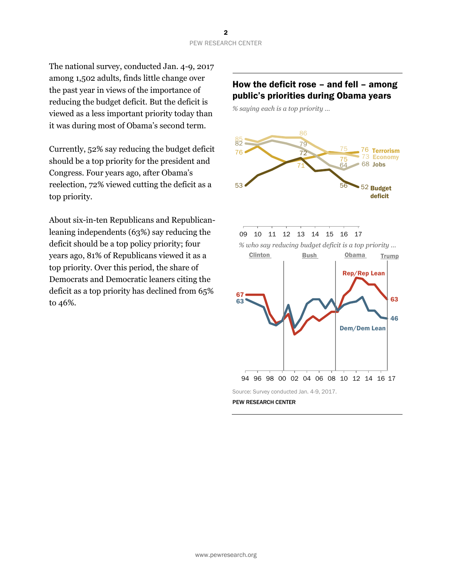The national survey, conducted Jan. 4-9, 2017 among 1,502 adults, finds little change over the past year in views of the importance of reducing the budget deficit. But the deficit is viewed as a less important priority today than it was during most of Obama's second term.

Currently, 52% say reducing the budget deficit should be a top priority for the president and Congress. Four years ago, after Obama's reelection, 72% viewed cutting the deficit as a top priority.

About six-in-ten Republicans and Republicanleaning independents (63%) say reducing the deficit should be a top policy priority; four years ago, 81% of Republicans viewed it as a top priority. Over this period, the share of Democrats and Democratic leaners citing the deficit as a top priority has declined from 65% to 46%.

### How the deficit rose – and fell – among public's priorities during Obama years

*% saying each is a top priority …*



PEW RESEARCH CENTER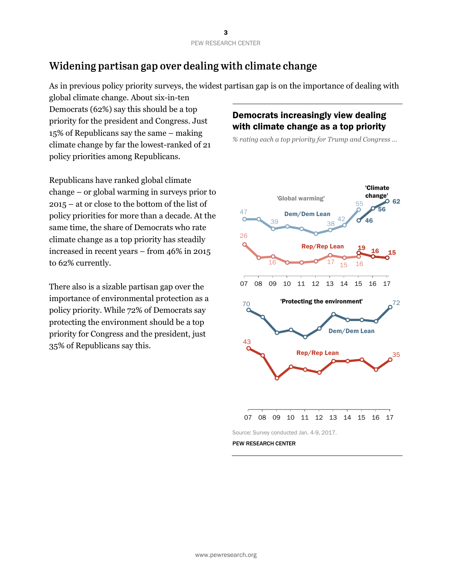# Widening partisan gap over dealing with climate change

As in previous policy priority surveys, the widest partisan gap is on the importance of dealing with

global climate change. About six-in-ten Democrats (62%) say this should be a top priority for the president and Congress. Just 15% of Republicans say the same – making climate change by far the lowest-ranked of 21 policy priorities among Republicans.

Republicans have ranked global climate change – or global warming in surveys prior to 2015 – at or close to the bottom of the list of policy priorities for more than a decade. At the same time, the share of Democrats who rate climate change as a top priority has steadily increased in recent years – from 46% in 2015 to 62% currently.

There also is a sizable partisan gap over the importance of environmental protection as a policy priority. While 72% of Democrats say protecting the environment should be a top priority for Congress and the president, just 35% of Republicans say this.

# Democrats increasingly view dealing with climate change as a top priority

*% rating each a top priority for Trump and Congress …*

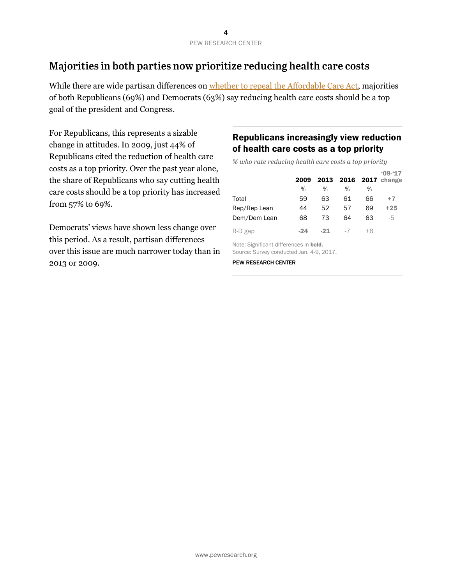# Majorities in both parties now prioritize reducing health care costs

While there are wide partisan differences on [whether to repeal the Affordable Care Act,](http://www.people-press.org/2016/12/08/4-views-of-the-aca-medicare-and-the-nations-economy/#the-future-of-the-aca) majorities of both Republicans (69%) and Democrats (63%) say reducing health care costs should be a top goal of the president and Congress.

For Republicans, this represents a sizable change in attitudes. In 2009, just 44% of Republicans cited the reduction of health care costs as a top priority. Over the past year alone, the share of Republicans who say cutting health care costs should be a top priority has increased from 57% to 69%.

Democrats' views have shown less change over this period. As a result, partisan differences over this issue are much narrower today than in 2013 or 2009.

# Republicans increasingly view reduction of health care costs as a top priority

*% who rate reducing health care costs a top priority* 

|                                                                                    | 2009  | 2013  | 2016 |      | $09-17$<br>$2017$ change |  |  |
|------------------------------------------------------------------------------------|-------|-------|------|------|--------------------------|--|--|
|                                                                                    | %     | %     | %    | %    |                          |  |  |
| Total                                                                              | 59    | 63    | 61   | 66   | $+7$                     |  |  |
| Rep/Rep Lean                                                                       | 44    | 52    | 57   | 69   | $+25$                    |  |  |
| Dem/Dem Lean                                                                       | 68    | 73    | 64   | 63   | -5                       |  |  |
| R-D gap                                                                            | $-24$ | $-21$ | $-7$ | $+6$ |                          |  |  |
| Note: Significant differences in bold.<br>Source: Survey conducted Jan. 4-9, 2017. |       |       |      |      |                          |  |  |

PEW RESEARCH CENTER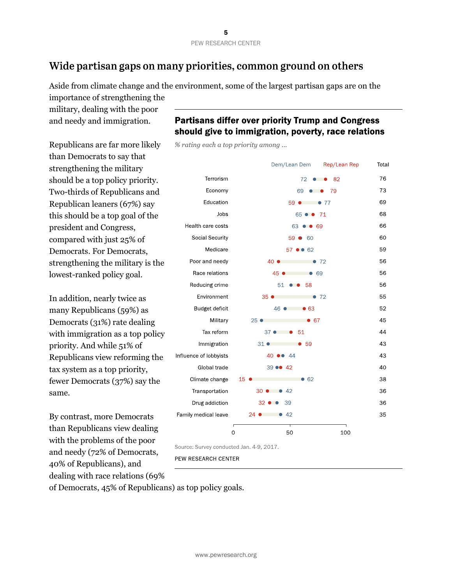# Wide partisan gaps on many priorities, common ground on others

Aside from climate change and the environment, some of the largest partisan gaps are on the

importance of strengthening the military, dealing with the poor and needy and immigration.

Republicans are far more likely than Democrats to say that strengthening the military should be a top policy priority. Two-thirds of Republicans and Republican leaners (67%) say this should be a top goal of the president and Congress, compared with just 25% of Democrats. For Democrats, strengthening the military is the lowest-ranked policy goal.

In addition, nearly twice as many Republicans (59%) as Democrats (31%) rate dealing with immigration as a top policy priority. And while 51% of Republicans view reforming the tax system as a top priority, fewer Democrats (37%) say the same.

By contrast, more Democrats than Republicans view dealing with the problems of the poor and needy (72% of Democrats, 40% of Republicans), and dealing with race relations (69%

# **Partisans differ over priority Trump and Congress** should give to immigration, poverty, race relations

% rating each a top priority among ...

|                        | Dem/Lean Dem                      | Rep/Lean Rep<br>Total |
|------------------------|-----------------------------------|-----------------------|
| Terrorism              | 72<br>82<br>$\bullet$<br>- 0      | 76                    |
| Economy                | 69<br>79<br>$\bullet\quad\bullet$ | 73                    |
| Education              | $59$ $\bullet$<br>$\bullet$ 77    | 69                    |
| Jobs                   | 65 • • 71                         | 68                    |
| Health care costs      | 63 • 69                           | 66                    |
| Social Security        | 59 6 60                           | 60                    |
| Medicare               | 57 ●● 62                          | 59                    |
| Poor and needy         | 40 ●<br>•72                       | 56                    |
| Race relations         | 45 ●<br>• 69                      | 56                    |
| Reducing crime         | 51<br>- 58                        | 56                    |
| Environment            | 35 <sup>°</sup><br>•72            | 55                    |
| Budget deficit         | 46 ●<br>• 63                      | 52                    |
| Military               | $25$ $\bullet$<br>• 67            | 45                    |
| Tax reform             | - 51<br>$37 \bullet \bullet$      | 44                    |
| Immigration            | $31 \bullet$<br>- 59              | 43                    |
| Influence of lobbyists | 40 00 44                          | 43                    |
| Global trade           | 39 00 42                          | 40                    |
| Climate change         | 15<br>• 62                        | 38                    |
| Transportation         | 30 $\bullet$ $\bullet$ 42         | 36                    |
| Drug addiction         | $32 \bullet \bullet$<br>39        | 36                    |
| Family medical leave   | 42<br>$24$ $\bullet$<br>$\bullet$ | 35                    |
|                        | f<br>50<br>$\mathbf 0$            | 100                   |

Source: Survey conducted Jan. 4-9, 2017.

PEW RESEARCH CENTER

of Democrats, 45% of Republicans) as top policy goals.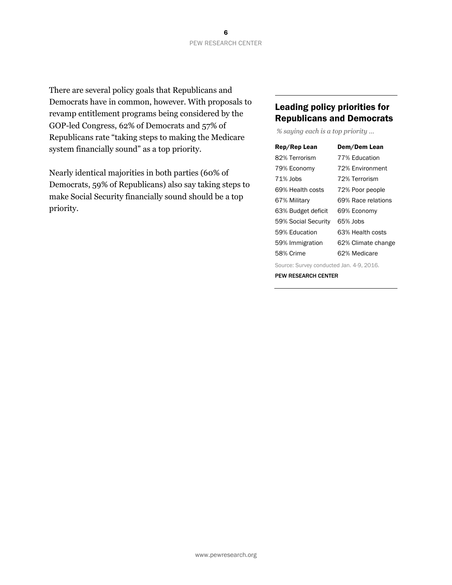There are several policy goals that Republicans and Democrats have in common, however. With proposals to revamp entitlement programs being considered by the GOP-led Congress, 62% of Democrats and 57% of Republicans rate "taking steps to making the Medicare system financially sound" as a top priority.

Nearly identical majorities in both parties (60% of Democrats, 59% of Republicans) also say taking steps to make Social Security financially sound should be a top priority.

# Leading policy priorities for Republicans and Democrats

*% saying each is a top priority …*

| Rep/Rep Lean        | Dem/Dem Lean       |
|---------------------|--------------------|
| 82% Terrorism       | 77% Education      |
| 79% Economy         | 72% Environment    |
| 71% Jobs            | 72% Terrorism      |
| 69% Health costs    | 72% Poor people    |
| 67% Military        | 69% Race relations |
| 63% Budget deficit  | 69% Economy        |
| 59% Social Security | 65% Jobs           |
| 59% Education       | 63% Health costs   |
| 59% Immigration     | 62% Climate change |
| 58% Crime           | 62% Medicare       |
|                     |                    |

Source: Survey conducted Jan. 4-9, 2016. PEW RESEARCH CENTER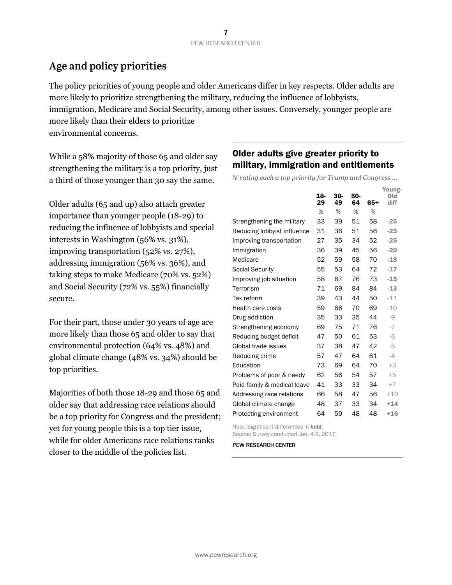# Age and policy priorities

The policy priorities of young people and older Americans differ in key respects. Older adults are more likely to prioritize strengthening the military, reducing the influence of lobbyists, immigration, Medicare and Social Security, among other issues. Conversely, younger people are more likely than their elders to prioritize environmental concerns.

While a 58% majority of those 65 and older say strengthening the military is a top priority, just a third of those younger than 30 say the same.

Older adults (65 and up) also attach greater importance than younger people (18-29) to reducing the influence of lobbyists and special interests in Washington (56% vs. 31%), improving transportation (52% vs. 27%), addressing immigration (56% vs. 36%), and taking steps to make Medicare (70% vs. 52%) and Social Security (72% vs. 55%) financially secure.

For their part, those under 30 years of age are more likely than those 65 and older to say that environmental protection (64% vs. 48%) and global climate change (48% vs. 34%) should be top priorities.

Majorities of both those 18-29 and those 65 and older say that addressing race relations should be a top priority for Congress and the president; yet for young people this is a top tier issue, while for older Americans race relations ranks closer to the middle of the policies list.

# Older adults give greater priority to military, immigration and entitlements

*% rating each a top priority for Trump and Congress …*

|                             |     |       |     |     | Young-  |
|-----------------------------|-----|-------|-----|-----|---------|
|                             | 18- | $30-$ | 50- |     | $Q$ $d$ |
|                             | 29  | 49    | 64  | 65+ | diff    |
|                             | %   | %     | %   | %   |         |
| Strengthening the military  | 33  | 39    | 51  | 58  | $-25$   |
| Reducing lobbyist influence | 31  | 36    | 51  | 56  | $-25$   |
| Improving transportation    | 27  | 35    | 34  | 52  | $-25$   |
| Immigration                 | 36  | 39    | 45  | 56  | $-20$   |
| Medicare                    | 52  | 59    | 58  | 70  | $-18$   |
| <b>Social Security</b>      | 55  | 53    | 64  | 72  | $-17$   |
| Improving job situation     | 58  | 67    | 76  | 73  | $-15$   |
| Terrorism                   | 71  | 69    | 84  | 84  | $-13$   |
| Tax reform                  | 39  | 43    | 44  | 50  | $-11$   |
| Health care costs           | 59  | 66    | 70  | 69  | $-10$   |
| Drug addiction              | 35  | 33    | 35  | 44  | -9      |
| Strengthening economy       | 69  | 75    | 71  | 76  | $-7$    |
| Reducing budget deficit     | 47  | 50    | 61  | 53  | $-6$    |
| Global trade issues         | 37  | 38    | 47  | 42  | -5      |
| Reducing crime              | 57  | 47    | 64  | 61  | $-4$    |
| Education                   | 73  | 69    | 64  | 70  | $+3$    |
| Problems of poor & needy    | 62  | 56    | 54  | 57  | $+5$    |
| Paid family & medical leave | 41  | 33    | 33  | 34  | $+7$    |
| Addressing race relations   | 66  | 58    | 47  | 56  | $+10$   |
| Global climate change       | 48  | 37    | 33  | 34  | $+14$   |
| Protecting environment      | 64  | 59    | 48  | 48  | $+16$   |
|                             |     |       |     |     |         |

Note: Significant differences in bold.

Source: Survey conducted Jan. 4-9, 2017.

PEW RESEARCH CENTER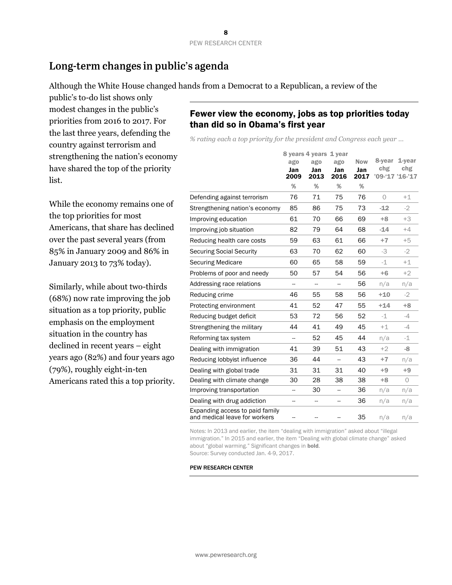# Long-term changes in public's agenda

Although the White House changed hands from a Democrat to a Republican, a review of the

public's to-do list shows only modest changes in the public's priorities from 2016 to 2017. For the last three years, defending the country against terrorism and strengthening the nation's economy have shared the top of the priority list.

While the economy remains one of the top priorities for most Americans, that share has declined over the past several years (from 85% in January 2009 and 86% in January 2013 to 73% today).

Similarly, while about two-thirds (68%) now rate improving the job situation as a top priority, public emphasis on the employment situation in the country has declined in recent years – eight years ago (82%) and four years ago (79%), roughly eight-in-ten Americans rated this a top priority.

# Fewer view the economy, jobs as top priorities today than did so in Obama's first year

*% rating each a top priority for the president and Congress each year …*

|                                                                  |             | 8 years 4 years 1 year   |             |             |            |                        |
|------------------------------------------------------------------|-------------|--------------------------|-------------|-------------|------------|------------------------|
|                                                                  | ago         | ago                      | ago         | <b>Now</b>  | 8-year     | $1$ -year              |
|                                                                  | Jan<br>2009 | Jan<br>2013              | Jan<br>2016 | Jan<br>2017 | chg        | chg<br>'09-'17 '16-'17 |
|                                                                  | %           | %                        | %           | %           |            |                        |
| Defending against terrorism                                      | 76          | 71                       | 75          | 76          | $\bigcirc$ | $+1$                   |
| Strengthening nation's economy                                   | 85          | 86                       | 75          | 73          | $-12$      | $-2$                   |
| Improving education                                              | 61          | 70                       | 66          | 69          | $+8$       | $+3$                   |
| Improving job situation                                          | 82          | 79                       | 64          | 68          | $-14$      | $+4$                   |
| Reducing health care costs                                       | 59          | 63                       | 61          | 66          | $+7$       | $+5$                   |
| <b>Securing Social Security</b>                                  | 63          | 70                       | 62          | 60          | -3         | $-2$                   |
| <b>Securing Medicare</b>                                         | 60          | 65                       | 58          | 59          | $-1$       | $+1$                   |
| Problems of poor and needy                                       | 50          | 57                       | 54          | 56          | $+6$       | $+2$                   |
| Addressing race relations                                        | --          | $\overline{\phantom{a}}$ |             | 56          | n/a        | n/a                    |
| Reducing crime                                                   | 46          | 55                       | 58          | 56          | $+10$      | $-2$                   |
| Protecting environment                                           | 41          | 52                       | 47          | 55          | $+14$      | $+8$                   |
| Reducing budget deficit                                          | 53          | 72                       | 56          | 52          | $-1$       | $-4$                   |
| Strengthening the military                                       | 44          | 41                       | 49          | 45          | $+1$       | -4                     |
| Reforming tax system                                             | --          | 52                       | 45          | 44          | n/a        | $-1$                   |
| Dealing with immigration                                         | 41          | 39                       | 51          | 43          | $+2$       | -8                     |
| Reducing lobbyist influence                                      | 36          | 44                       |             | 43          | $+7$       | n/a                    |
| Dealing with global trade                                        | 31          | 31                       | 31          | 40          | $+9$       | $+9$                   |
| Dealing with climate change                                      | 30          | 28                       | 38          | 38          | $+8$       | $\circ$                |
| Improving transportation                                         | --          | 30                       | ш,          | 36          | n/a        | n/a                    |
| Dealing with drug addiction                                      | --          |                          |             | 36          | n/a        | n/a                    |
| Expanding access to paid family<br>and medical leave for workers |             |                          |             | 35          | n/a        | n/a                    |

Notes: In 2013 and earlier, the item "dealing with immigration" asked about "illegal immigration." In 2015 and earlier, the item "Dealing with global climate change" asked about "global warming." Significant changes in bold. Source: Survey conducted Jan. 4-9, 2017.

PEW RESEARCH CENTER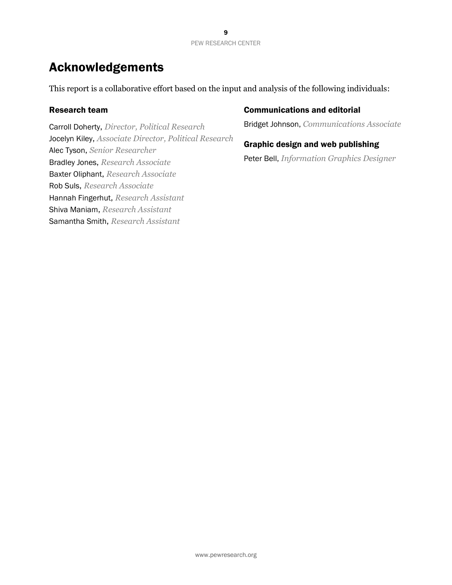# Acknowledgements

This report is a collaborative effort based on the input and analysis of the following individuals:

### Research team

Carroll Doherty, *Director, Political Research* Jocelyn Kiley, *Associate Director, Political Research* Alec Tyson, *Senior Researcher* Bradley Jones, *Research Associate* Baxter Oliphant, *Research Associate* Rob Suls, *Research Associate* Hannah Fingerhut, *Research Assistant* Shiva Maniam, *Research Assistant* Samantha Smith, *Research Assistant*

### Communications and editorial

Bridget Johnson, *Communications Associate*

### Graphic design and web publishing

Peter Bell, *Information Graphics Designer*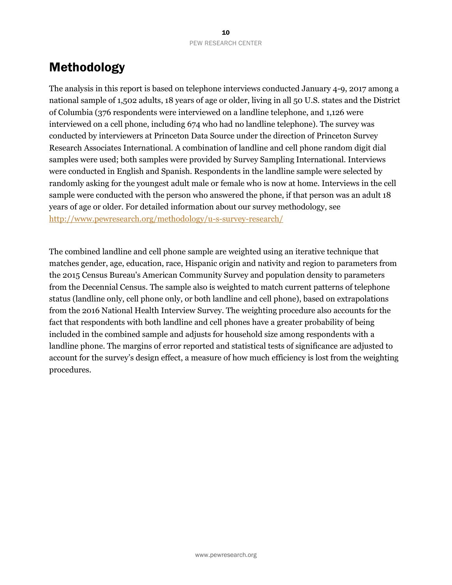# Methodology

The analysis in this report is based on telephone interviews conducted January 4-9, 2017 among a national sample of 1,502 adults, 18 years of age or older, living in all 50 U.S. states and the District of Columbia (376 respondents were interviewed on a landline telephone, and 1,126 were interviewed on a cell phone, including 674 who had no landline telephone). The survey was conducted by interviewers at Princeton Data Source under the direction of Princeton Survey Research Associates International. A combination of landline and cell phone random digit dial samples were used; both samples were provided by Survey Sampling International. Interviews were conducted in English and Spanish. Respondents in the landline sample were selected by randomly asking for the youngest adult male or female who is now at home. Interviews in the cell sample were conducted with the person who answered the phone, if that person was an adult 18 years of age or older. For detailed information about our survey methodology, see <http://www.pewresearch.org/methodology/u-s-survey-research/>

The combined landline and cell phone sample are weighted using an iterative technique that matches gender, age, education, race, Hispanic origin and nativity and region to parameters from the 2015 Census Bureau's American Community Survey and population density to parameters from the Decennial Census. The sample also is weighted to match current patterns of telephone status (landline only, cell phone only, or both landline and cell phone), based on extrapolations from the 2016 National Health Interview Survey. The weighting procedure also accounts for the fact that respondents with both landline and cell phones have a greater probability of being included in the combined sample and adjusts for household size among respondents with a landline phone. The margins of error reported and statistical tests of significance are adjusted to account for the survey's design effect, a measure of how much efficiency is lost from the weighting procedures.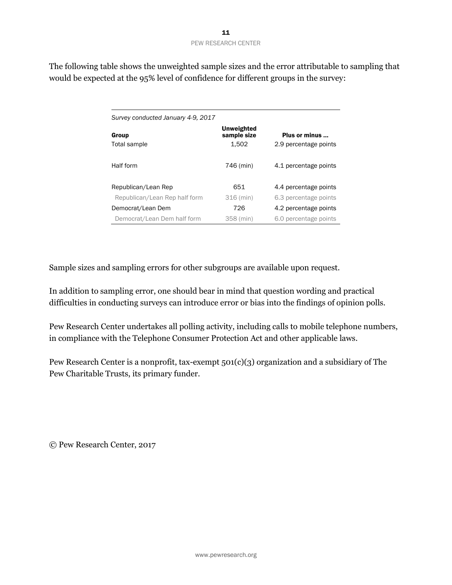The following table shows the unweighted sample sizes and the error attributable to sampling that would be expected at the 95% level of confidence for different groups in the survey:

| Survey conducted January 4-9, 2017 |                                           |                                        |
|------------------------------------|-------------------------------------------|----------------------------------------|
| Group<br>Total sample              | <b>Unweighted</b><br>sample size<br>1.502 | Plus or minus<br>2.9 percentage points |
| Half form                          | 746 (min)                                 | 4.1 percentage points                  |
| Republican/Lean Rep                | 651                                       | 4.4 percentage points                  |
| Republican/Lean Rep half form      | 316 (min)                                 | 6.3 percentage points                  |
| Democrat/Lean Dem                  | 726                                       | 4.2 percentage points                  |
| Democrat/Lean Dem half form        | 358 (min)                                 | 6.0 percentage points                  |

Sample sizes and sampling errors for other subgroups are available upon request.

In addition to sampling error, one should bear in mind that question wording and practical difficulties in conducting surveys can introduce error or bias into the findings of opinion polls.

Pew Research Center undertakes all polling activity, including calls to mobile telephone numbers, in compliance with the Telephone Consumer Protection Act and other applicable laws.

Pew Research Center is a nonprofit, tax-exempt 501(c)(3) organization and a subsidiary of The Pew Charitable Trusts, its primary funder.

© Pew Research Center, 2017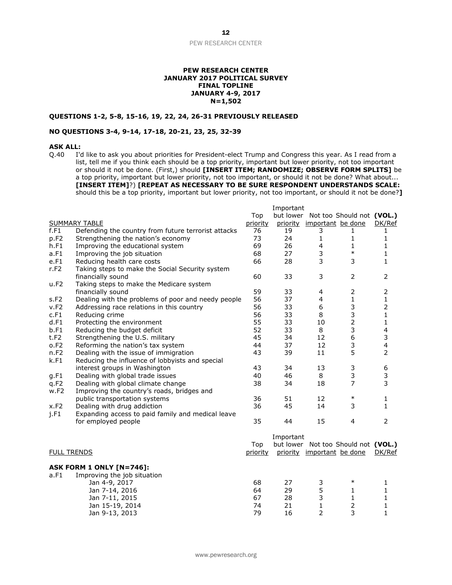#### **PEW RESEARCH CENTER JANUARY 2017 POLITICAL SURVEY FINAL TOPLINE JANUARY 4-9, 2017 N=1,502**

#### **QUESTIONS 1-2, 5-8, 15-16, 19, 22, 24, 26-31 PREVIOUSLY RELEASED**

#### **NO QUESTIONS 3-4, 9-14, 17-18, 20-21, 23, 25, 32-39**

**ASK ALL:**<br>Q.40 I'd I'd like to ask you about priorities for President-elect Trump and Congress this year. As I read from a list, tell me if you think each should be a top priority, important but lower priority, not too important or should it not be done. (First,) should **[INSERT ITEM; RANDOMIZE; OBSERVE FORM SPLITS]** be a top priority, important but lower priority, not too important, or should it not be done? What about... **[INSERT ITEM]**?) **[REPEAT AS NECESSARY TO BE SURE RESPONDENT UNDERSTANDS SCALE:**  should this be a top priority, important but lower priority, not too important, or should it not be done?**]** 

Important

|                      |                                                     |          | Inportant |                            |                                     |                         |
|----------------------|-----------------------------------------------------|----------|-----------|----------------------------|-------------------------------------|-------------------------|
|                      |                                                     | Top      |           |                            | but lower Not too Should not (VOL.) |                         |
| <b>SUMMARY TABLE</b> |                                                     | priority | priority  | important be done          |                                     | DK/Ref                  |
| f.F1                 | Defending the country from future terrorist attacks | 76       | 19        | 3                          | 1                                   | 1                       |
| p.F <sub>2</sub>     | Strengthening the nation's economy                  | 73       | 24        | $\mathbf{1}$               | 1                                   | 1                       |
| h.F1                 | Improving the educational system                    | 69       | 26        | 4                          | 1                                   | 1                       |
| a.F1                 | Improving the job situation                         | 68       | 27        | 3                          | $\ast$                              | 1                       |
| e.F1                 | Reducing health care costs                          | 66       | 28        | 3                          | 3                                   | 1                       |
| r.F2                 | Taking steps to make the Social Security system     |          |           |                            |                                     |                         |
|                      | financially sound                                   | 60       | 33        | 3                          | $\overline{2}$                      | $\overline{2}$          |
| u.F2                 | Taking steps to make the Medicare system            |          |           |                            |                                     |                         |
|                      | financially sound                                   | 59       | 33        | 4                          | 2                                   | $\overline{2}$          |
| s.F2                 | Dealing with the problems of poor and needy people  | 56       | 37        | 4                          | $\mathbf{1}$                        | $\mathbf 1$             |
| v.F2                 | Addressing race relations in this country           | 56       | 33        | 6                          | 3                                   | $\overline{2}$          |
| c.F1                 | Reducing crime                                      | 56       | 33        | 8                          | 3                                   | $\mathbf{1}$            |
| d.F1                 | Protecting the environment                          | 55       | 33        | 10                         | $\overline{2}$                      | $\mathbf{1}$            |
| b.F1                 | Reducing the budget deficit                         | 52       | 33        | 8                          | 3                                   | $\overline{\mathbf{4}}$ |
| t.F2                 | Strengthening the U.S. military                     | 45       | 34        | 12                         | 6                                   | 3                       |
| o.F2                 | Reforming the nation's tax system                   | 44       | 37        | 12                         | 3                                   | $\overline{4}$          |
| n.F2                 | Dealing with the issue of immigration               | 43       | 39        | 11                         | 5                                   | $\overline{2}$          |
| k.F1                 | Reducing the influence of lobbyists and special     |          |           |                            |                                     |                         |
|                      | interest groups in Washington                       | 43       | 34        | 13                         | 3                                   | 6                       |
| g.F1                 | Dealing with global trade issues                    | 40       | 46        | 8                          | 3                                   | 3                       |
| q.F2                 | Dealing with global climate change                  | 38       | 34        | 18                         | $\overline{7}$                      | 3                       |
| w.F2                 | Improving the country's roads, bridges and          |          |           |                            |                                     |                         |
|                      | public transportation systems                       | 36       | 51        | 12                         | $\ast$                              | 1                       |
| x.F2                 | Dealing with drug addiction                         | 36       | 45        | 14                         | 3                                   | 1                       |
| j.F1                 | Expanding access to paid family and medical leave   |          |           |                            |                                     |                         |
|                      | for employed people                                 | 35       | 44        | 15                         | 4                                   | 2                       |
|                      |                                                     |          |           |                            |                                     |                         |
|                      |                                                     |          | Important |                            |                                     |                         |
|                      |                                                     | Top      |           |                            | but lower Not too Should not (VOL.) |                         |
| <b>FULL TRENDS</b>   |                                                     | priority |           | priority important be done |                                     | DK/Ref                  |
|                      |                                                     |          |           |                            |                                     |                         |
|                      | ASK FORM 1 ONLY [N=746]:                            |          |           |                            |                                     |                         |
| a.F1                 | Improving the job situation                         |          |           |                            |                                     |                         |

| <b>U.I L</b> | <b>THIS OVING THE JOD SILUATION</b> |    |    |   |  |
|--------------|-------------------------------------|----|----|---|--|
|              | Jan 4-9, 2017                       | 68 | 27 | ∗ |  |
|              | Jan 7-14, 2016                      | 64 | 29 |   |  |
|              | Jan 7-11, 2015                      | 67 | 28 |   |  |
|              | Jan 15-19, 2014                     | 74 |    |   |  |
|              | Jan 9-13, 2013                      | 79 | 16 |   |  |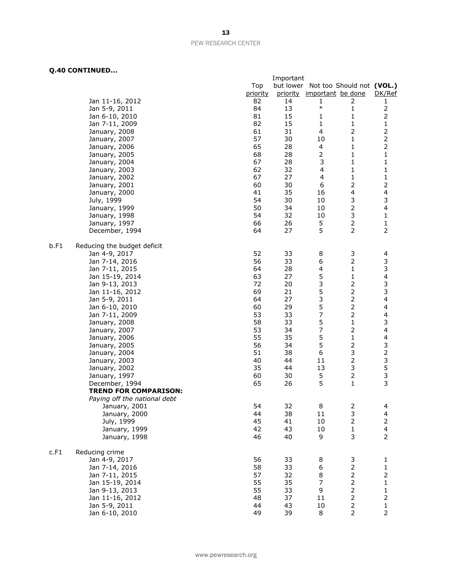|      |                              |          | Important |                                     |                |                         |
|------|------------------------------|----------|-----------|-------------------------------------|----------------|-------------------------|
|      |                              | Top      |           | but lower Not too Should not (VOL.) |                |                         |
|      |                              | priority |           | priority important be done          |                | DK/Ref                  |
|      | Jan 11-16, 2012              | 82       | 14        | 1                                   | 2              | 1                       |
|      | Jan 5-9, 2011                | 84       | 13        | $\ast$                              | 1              |                         |
|      | Jan 6-10, 2010               | 81       | 15        | 1                                   | 1              | 2                       |
|      | Jan 7-11, 2009               | 82       | 15        | 1                                   | $\mathbf{1}$   | $\mathbf 1$             |
|      | January, 2008                | 61       | 31        | 4                                   | $\mathbf 2$    | $\mathbf 2$             |
|      | January, 2007                | 57       | 30        | 10                                  | 1              | $\overline{2}$          |
|      | January, 2006                | 65       | 28        | $\overline{\mathcal{A}}$            | 1              | $\mathbf 2$             |
|      | January, 2005                | 68       | 28        | $\overline{2}$                      | 1              | $\mathbf 1$             |
|      | January, 2004                | 67       | 28        | 3                                   | 1              | $\mathbf 1$             |
|      | January, 2003                | 62       | 32        | 4                                   | $\mathbf{1}$   | 1                       |
|      | January, 2002                | 67       | 27        | $\overline{\mathcal{A}}$            | $\mathbf 1$    | $\mathbf 1$             |
|      | January, 2001                | 60       | 30        | 6                                   | $\mathbf 2$    | $\overline{2}$          |
|      | January, 2000                | 41       | 35        | 16                                  | 4              | 4                       |
|      | July, 1999                   | 54       | 30        | 10                                  | 3              | 3                       |
|      | January, 1999                | 50       | 34        | 10                                  | $\mathbf{2}$   | 4                       |
|      | January, 1998                | 54       | 32        | 10                                  | 3              | 1                       |
|      | January, 1997                | 66       | 26        | 5                                   | 2              | $\mathbf{1}$            |
|      |                              | 64       | 27        | 5                                   | $\overline{2}$ | $\overline{2}$          |
|      | December, 1994               |          |           |                                     |                |                         |
| b.F1 | Reducing the budget deficit  |          |           |                                     |                |                         |
|      | Jan 4-9, 2017                | 52       | 33        | 8                                   | 3              | 4                       |
|      | Jan 7-14, 2016               | 56       | 33        | 6                                   | $\overline{2}$ | 3                       |
|      | Jan 7-11, 2015               | 64       | 28        | 4                                   | 1              | 3                       |
|      | Jan 15-19, 2014              | 63       | 27        | 5                                   | $\mathbf 1$    | $\overline{\mathbf{4}}$ |
|      | Jan 9-13, 2013               | 72       | 20        | 3                                   | $\overline{2}$ | 3                       |
|      | Jan 11-16, 2012              | 69       | 21        | 5                                   | $\overline{2}$ | 3                       |
|      | Jan 5-9, 2011                | 64       | 27        | 3                                   | $\overline{2}$ | $\overline{\mathbf{4}}$ |
|      | Jan 6-10, 2010               | 60       | 29        | 5                                   | $\overline{2}$ | 4                       |
|      | Jan 7-11, 2009               | 53       | 33        | $\overline{\phantom{a}}$            | $\overline{2}$ | $\overline{\mathbf{4}}$ |
|      | January, 2008                | 58       | 33        | 5                                   | $\mathbf{1}$   | 3                       |
|      | January, 2007                | 53       | 34        | 7                                   | $\mathbf 2$    | 4                       |
|      | January, 2006                | 55       | 35        | 5                                   | $\mathbf{1}$   | $\overline{\mathbf{4}}$ |
|      | January, 2005                | 56       | 34        | 5                                   |                | $\frac{3}{2}$           |
|      | January, 2004                | 51       | 38        | 6                                   | 3              |                         |
|      | January, 2003                | 40       | 44        | 11                                  | $\mathbf 2$    | 3                       |
|      | January, 2002                | 35       | 44        | 13                                  | 3              | 5                       |
|      | January, 1997                | 60       | 30        | 5                                   | $\mathbf{2}$   | 3                       |
|      | December, 1994               | 65       | 26        | 5                                   | 1              | 3                       |
|      | <b>TREND FOR COMPARISON:</b> |          |           |                                     |                |                         |
|      | Paying off the national debt |          |           |                                     |                |                         |
|      | January, 2001                | 54       | 32        | 8                                   | 2              | 4                       |
|      | January, 2000                | 44       | 38        | 11                                  | 3              | 4                       |
|      | July, 1999                   | 45       | 41        | 10                                  | $\overline{2}$ |                         |
|      | January, 1999                | 42       | 43        | 10                                  | $\mathbf{1}$   | $\overline{\mathbf{4}}$ |
|      | January, 1998                | 46       | 40        | 9                                   | 3              | $\mathbf{2}$            |
| c.F1 | Reducing crime               |          |           |                                     |                |                         |
|      | Jan 4-9, 2017                | 56       | 33        | 8                                   | 3              | $\mathbf{1}$            |
|      | Jan 7-14, 2016               | 58       | 33        | 6                                   | $\overline{c}$ | $\mathbf{1}$            |
|      | Jan 7-11, 2015               | 57       | 32        | 8                                   | $\overline{2}$ | $\mathsf{2}\,$          |
|      | Jan 15-19, 2014              | 55       | 35        | 7                                   | $\overline{2}$ | $\mathbf 1$             |
|      | Jan 9-13, 2013               | 55       | 33        | 9                                   | $\overline{2}$ | $\mathbf{1}$            |
|      | Jan 11-16, 2012              | 48       | 37        | 11                                  | 2              |                         |
|      | Jan 5-9, 2011                | 44       | 43        | 10                                  | $\overline{2}$ | $\mathbf 1$             |
|      | Jan 6-10, 2010               | 49       | 39        | 8                                   | $\overline{2}$ | $\overline{2}$          |
|      |                              |          |           |                                     |                |                         |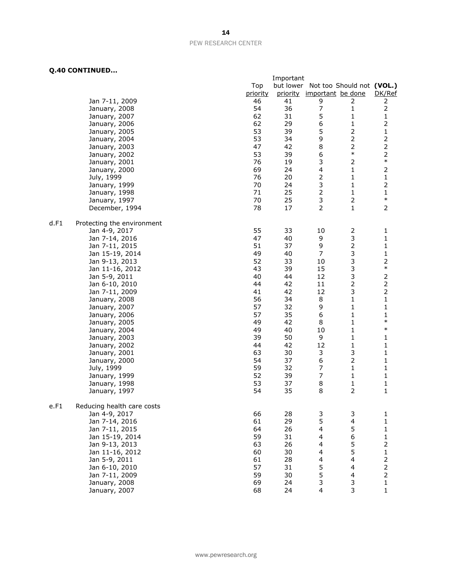|      |                            |          | Important |                            |                                     |                                            |
|------|----------------------------|----------|-----------|----------------------------|-------------------------------------|--------------------------------------------|
|      |                            | Top      |           |                            | but lower Not too Should not (VOL.) |                                            |
|      |                            | priority |           | priority important be done |                                     | DK/Ref                                     |
|      | Jan 7-11, 2009             | 46       | 41        | 9                          | 2                                   | 2                                          |
|      | January, 2008              | 54       | 36        | $\overline{7}$             | 1                                   | $\mathbf 2$                                |
|      | January, 2007              | 62       | 31        | 5                          | 1                                   | 1                                          |
|      | January, 2006              | 62       | 29        | 6                          | 1                                   | $\mathbf 2$                                |
|      | January, 2005              | 53       | 39        | 5                          | $\overline{2}$                      | $\mathbf 1$                                |
|      | January, 2004              | 53       | 34        | 9                          | $\overline{2}$                      | $\overline{2}$                             |
|      | January, 2003              | 47       | 42        | $\,8\,$                    | $\overline{2}$                      | $\mathbf 2$                                |
|      | January, 2002              | 53       | 39        | 6                          | $\ast$                              | $\overline{2}$                             |
|      | January, 2001              | 76       | 19        | 3                          | 2                                   | $\ast$                                     |
|      | January, 2000              | 69       | 24        | $\overline{\mathbf{4}}$    | 1                                   | $\mathbf 2$                                |
|      | July, 1999                 | 76       | 20        | $\mathbf 2$                | 1                                   | $\mathbf 1$                                |
|      | January, 1999              | 70       | 24        | 3                          | 1                                   | $\mathbf 2$                                |
|      | January, 1998              | 71       | 25        | $\mathbf 2$                | 1                                   | $\mathbf{1}$                               |
|      | January, 1997              | 70       | 25        | $\mathsf 3$                | $\overline{2}$                      | $\ast$                                     |
|      | December, 1994             | 78       | 17        | $\overline{2}$             | $\mathbf{1}$                        | $\overline{2}$                             |
|      |                            |          |           |                            |                                     |                                            |
| d.F1 | Protecting the environment |          |           |                            |                                     |                                            |
|      | Jan 4-9, 2017              | 55       | 33        | 10                         | 2                                   | 1                                          |
|      | Jan 7-14, 2016             | 47       | 40        | 9                          | 3                                   | 1                                          |
|      | Jan 7-11, 2015             | 51       | 37        | 9                          | 2                                   | 1                                          |
|      | Jan 15-19, 2014            | 49       | 40        | $\overline{7}$             | 3                                   | 1                                          |
|      | Jan 9-13, 2013             | 52       | 33        | 10                         | 3                                   | $\overline{c}$                             |
|      | Jan 11-16, 2012            | 43       | 39        | 15                         | 3                                   | $\ast$                                     |
|      | Jan 5-9, 2011              | 40       | 44        | 12                         | 3                                   | $\overline{2}$                             |
|      | Jan 6-10, 2010             | 44       | 42        | 11                         | $\overline{2}$                      | $\mathbf 2$                                |
|      | Jan 7-11, 2009             | 41       | 42        | 12                         | 3                                   | $\mathbf 2$                                |
|      | January, 2008              | 56       | 34        | 8                          | 1                                   | $\mathbf 1$                                |
|      | January, 2007              | 57       | 32        | 9                          | 1                                   | $\mathbf{1}$                               |
|      |                            | 57       | 35        | 6                          | 1                                   | $\mathbf 1$                                |
|      | January, 2006              | 49       | 42        | 8                          | 1                                   | $\ast$                                     |
|      | January, 2005              | 49       | 40        | 10                         | 1                                   | $\ast$                                     |
|      | January, 2004              | 39       | 50        | 9                          | 1                                   | 1                                          |
|      | January, 2003              | 44       | 42        | 12                         | 1                                   | $\mathbf 1$                                |
|      | January, 2002              | 63       | 30        | 3                          |                                     | $\mathbf{1}$                               |
|      | January, 2001              |          |           | 6                          | 3<br>$\overline{2}$                 |                                            |
|      | January, 2000              | 54<br>59 | 37<br>32  | $\overline{7}$             | $\mathbf 1$                         | $\mathbf{1}$<br>$\mathbf{1}$               |
|      | July, 1999                 |          |           | $\overline{7}$             |                                     |                                            |
|      | January, 1999              | 52       | 39        |                            | 1                                   | 1                                          |
|      | January, 1998              | 53       | 37        | 8                          | 1                                   | 1                                          |
|      | January, 1997              | 54       | 35        | 8                          | $\overline{2}$                      | 1                                          |
|      |                            |          |           |                            |                                     |                                            |
| e.F1 | Reducing health care costs |          |           |                            |                                     |                                            |
|      | Jan 4-9, 2017              | 66       | 28        | 3                          | 3                                   | 1                                          |
|      | Jan 7-14, 2016             | 61       | 29        | 5                          | 4                                   | $\mathbf 1$                                |
|      | Jan 7-11, 2015             | 64       | 26        | $\overline{\mathbf{4}}$    | 5                                   | $\mathbf 1$                                |
|      | Jan 15-19, 2014            | 59       | 31        | 4                          | 6                                   | $\mathbf 1$                                |
|      | Jan 9-13, 2013             | 63       | 26        | 4                          | 5                                   | $\overline{c}$                             |
|      | Jan 11-16, 2012            | 60       | 30        | 4                          | 5                                   | $\mathbf{1}$                               |
|      | Jan 5-9, 2011              | 61       | 28        | 4                          | 4                                   | $\begin{array}{c} 2 \\ 2 \\ 2 \end{array}$ |
|      | Jan 6-10, 2010             | 57       | 31        | $\frac{5}{5}$              | 4                                   |                                            |
|      | Jan 7-11, 2009             | 59       | 30        |                            | 4                                   |                                            |
|      | January, 2008              | 69       | 24        | 3                          | 3                                   | $\mathbf{1}$                               |
|      | January, 2007              | 68       | 24        | 4                          | 3                                   | $\mathbf 1$                                |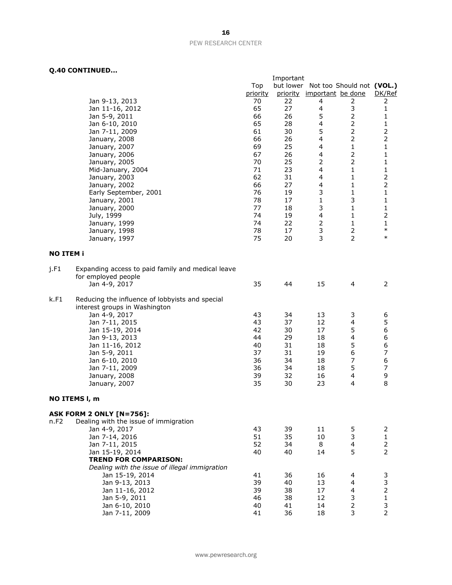|                  |                                                   |          | Important |                            |                           |                               |
|------------------|---------------------------------------------------|----------|-----------|----------------------------|---------------------------|-------------------------------|
|                  |                                                   | Top      | but lower |                            | Not too Should not (VOL.) |                               |
|                  |                                                   | priority |           | priority important be done |                           | DK/Ref                        |
|                  | Jan 9-13, 2013                                    | 70       | 22        | 4                          | 2                         | 2                             |
|                  | Jan 11-16, 2012                                   | 65       | 27        | 4                          | 3                         | 1                             |
|                  | Jan 5-9, 2011                                     | 66       | 26        | 5                          | $\overline{2}$            | 1                             |
|                  | Jan 6-10, 2010                                    | 65       | 28        | 4                          | $\overline{2}$            | 1                             |
|                  | Jan 7-11, 2009                                    | 61       | 30        | 5                          | $\mathbf{2}$              | $\mathbf 2$                   |
|                  | January, 2008                                     | 66       | 26        | 4                          | $\overline{2}$            | $\overline{2}$                |
|                  | January, 2007                                     | 69       | 25        | 4                          | $\mathbf{1}$              | $\mathbf{1}$                  |
|                  | January, 2006                                     | 67       | 26        | 4                          | $\overline{2}$            | $\mathbf{1}$                  |
|                  | January, 2005                                     | 70       | 25        | 2                          | $\overline{2}$            | 1                             |
|                  | Mid-January, 2004                                 | 71       | 23        | 4                          | 1                         | 1                             |
|                  | January, 2003                                     | 62       | 31        | 4                          | 1                         | $\overline{2}$<br>$\mathbf 2$ |
|                  | January, 2002                                     | 66       | 27        | 4<br>3                     | 1                         |                               |
|                  | Early September, 2001                             | 76<br>78 | 19<br>17  | $\mathbf{1}$               | 1<br>3                    | 1<br>1                        |
|                  | January, 2001                                     | 77       | 18        | 3                          | 1                         | $\mathbf 1$                   |
|                  | January, 2000<br>July, 1999                       | 74       | 19        | 4                          | 1                         | $\mathbf 2$                   |
|                  | January, 1999                                     | 74       | 22        | 2                          | $\mathbf{1}$              | $\mathbf{1}$                  |
|                  | January, 1998                                     | 78       | 17        | 3                          | $\mathbf{2}$              | $\ast$                        |
|                  | January, 1997                                     | 75       | 20        | 3                          | $\overline{2}$            | $\ast$                        |
|                  |                                                   |          |           |                            |                           |                               |
| <b>NO ITEM i</b> |                                                   |          |           |                            |                           |                               |
| j.F1             | Expanding access to paid family and medical leave |          |           |                            |                           |                               |
|                  | for employed people                               |          |           |                            |                           |                               |
|                  | Jan 4-9, 2017                                     | 35       | 44        | 15                         | $\overline{4}$            | 2                             |
| k.F1             | Reducing the influence of lobbyists and special   |          |           |                            |                           |                               |
|                  | interest groups in Washington                     |          |           |                            |                           |                               |
|                  | Jan 4-9, 2017                                     | 43       | 34        | 13                         | 3                         | 6                             |
|                  | Jan 7-11, 2015                                    | 43       | 37        | 12                         | $\overline{\mathbf{4}}$   | 5                             |
|                  | Jan 15-19, 2014                                   | 42       | 30        | 17                         | 5                         | 6                             |
|                  | Jan 9-13, 2013                                    | 44       | 29        | 18                         | $\overline{\mathbf{4}}$   | 6                             |
|                  | Jan 11-16, 2012                                   | 40       | 31        | 18                         | 5                         | 6                             |
|                  | Jan 5-9, 2011                                     | 37       | 31        | 19                         | 6                         | $\overline{\phantom{a}}$      |
|                  | Jan 6-10, 2010                                    | 36       | 34        | 18                         | 7                         | 6                             |
|                  | Jan 7-11, 2009                                    | 36       | 34        | 18                         | 5                         | $\overline{\phantom{a}}$      |
|                  | January, 2008                                     | 39       | 32        | 16                         | $\overline{\mathbf{4}}$   | 9                             |
|                  | January, 2007                                     | 35       | 30        | 23                         | $\overline{4}$            | 8                             |
|                  | NO ITEMS I, m                                     |          |           |                            |                           |                               |
|                  | <b>ASK FORM 2 ONLY [N=756]:</b>                   |          |           |                            |                           |                               |
| n.F2             | Dealing with the issue of immigration             |          |           |                            |                           |                               |
|                  | Jan 4-9, 2017                                     | 43       | 39        | 11                         | 5                         | 2                             |
|                  | Jan 7-14, 2016                                    | 51       | 35        | 10                         | 3                         | $\mathbf{1}$                  |
|                  | Jan 7-11, 2015                                    | 52       | 34        | 8                          | $\overline{4}$            | $\overline{2}$                |
|                  | Jan 15-19, 2014                                   | 40       | 40        | 14                         | 5                         | $\overline{2}$                |
|                  | <b>TREND FOR COMPARISON:</b>                      |          |           |                            |                           |                               |
|                  | Dealing with the issue of illegal immigration     |          |           |                            |                           |                               |
|                  | Jan 15-19, 2014                                   | 41       | 36        | 16                         | 4                         | 3                             |
|                  | Jan 9-13, 2013                                    | 39       | 40        | 13                         | $\overline{\mathbf{4}}$   | 3                             |
|                  | Jan 11-16, 2012                                   | 39       | 38        | 17                         | $\overline{\mathbf{4}}$   | $\overline{c}$                |
|                  | Jan 5-9, 2011                                     | 46       | 38        | 12                         | 3                         | $\mathbf 1$                   |
|                  | Jan 6-10, 2010                                    | 40       | 41        | 14                         | $\overline{2}$            | 3                             |
|                  | Jan 7-11, 2009                                    | 41       | 36        | 18                         | 3                         | $\overline{2}$                |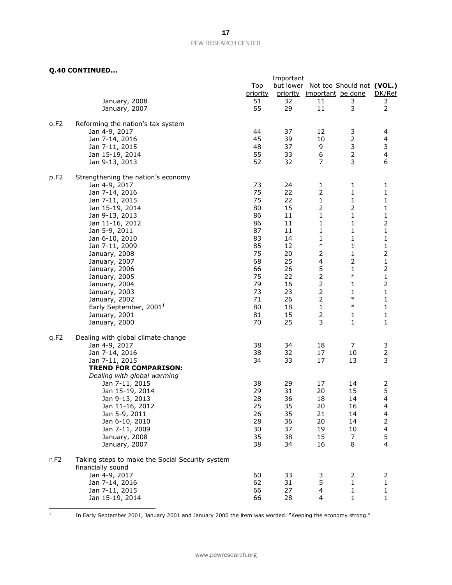#### **Q.40 CONTINUED...**

|                  |                                                 |          | Important |                                     |                |                         |
|------------------|-------------------------------------------------|----------|-----------|-------------------------------------|----------------|-------------------------|
|                  |                                                 | Top      |           | but lower Not too Should not (VOL.) |                |                         |
|                  |                                                 | priority |           | priority important be done          |                | DK/Ref                  |
|                  | January, 2008                                   | 51       | 32        | 11                                  | 3              | 3                       |
|                  | January, 2007                                   | 55       | 29        | 11                                  | 3              | $\mathbf 2$             |
| o.F2             | Reforming the nation's tax system               |          |           |                                     |                |                         |
|                  | Jan 4-9, 2017                                   | 44       | 37        | 12                                  | 3              | 4                       |
|                  | Jan 7-14, 2016                                  | 45       | 39        | 10                                  | $\mathbf 2$    | 4                       |
|                  | Jan 7-11, 2015                                  | 48       | 37        | 9                                   | 3              | $\mathsf 3$             |
|                  | Jan 15-19, 2014                                 | 55       | 33        | 6                                   | $\mathbf 2$    | $\overline{\mathbf{4}}$ |
|                  | Jan 9-13, 2013                                  | 52       | 32        | 7                                   | 3              | 6                       |
| p.F <sub>2</sub> | Strengthening the nation's economy              |          |           |                                     |                |                         |
|                  | Jan 4-9, 2017                                   | 73       | 24        | $\mathbf{1}$                        | 1              | 1                       |
|                  | Jan 7-14, 2016                                  | 75       | 22        | $\mathbf 2$                         | $\mathbf{1}$   | 1                       |
|                  | Jan 7-11, 2015                                  | 75       | 22        | $\mathbf{1}$                        | $\mathbf{1}$   | $\mathbf 1$             |
|                  | Jan 15-19, 2014                                 | 80       | 15        | $\mathbf 2$                         | $\mathbf 2$    | $\mathbf 1$             |
|                  | Jan 9-13, 2013                                  | 86       | 11        | 1                                   | 1              | $\mathbf 1$             |
|                  | Jan 11-16, 2012                                 | 86       | 11        | 1                                   | $\mathbf{1}$   | 2                       |
|                  | Jan 5-9, 2011                                   | 87       | 11        | $\mathbf{1}$                        | 1              | $\mathbf 1$             |
|                  | Jan 6-10, 2010                                  | 83       | 14        | 1                                   | 1              | $\mathbf{1}$            |
|                  | Jan 7-11, 2009                                  | 85       | 12        | $\ast$                              | 1              | 1                       |
|                  | January, 2008                                   | 75       | 20        | 2                                   | 1              | $\mathbf 2$             |
|                  | January, 2007                                   | 68       | 25        | $\overline{\mathcal{A}}$            | 2              | $\mathbf 1$             |
|                  | January, 2006                                   | 66       | 26        | 5                                   | $\mathbf{1}$   | $\mathbf 2$             |
|                  | January, 2005                                   | 75       | 22        | $\mathbf 2$                         | $\ast$         | $\mathbf 1$             |
|                  | January, 2004                                   | 79       | 16        | $\overline{2}$                      | $\mathbf{1}$   | $\overline{2}$          |
|                  | January, 2003                                   | 73       | 23        | $\mathbf 2$                         | 1              | $\mathbf 1$             |
|                  | January, 2002                                   | 71       | 26        | $\overline{2}$                      | $\ast$         | $\mathbf 1$             |
|                  | Early September, 2001 <sup>1</sup>              | 80       | 18        | $\mathbf{1}$                        | $\ast$         | $\mathbf 1$             |
|                  | January, 2001                                   | 81       | 15        | $\overline{2}$                      | 1              | $\mathbf{1}$            |
|                  | January, 2000                                   | 70       | 25        | 3                                   | 1              | 1                       |
| q.F2             | Dealing with global climate change              |          |           |                                     |                |                         |
|                  | Jan 4-9, 2017                                   | 38       | 34        | 18                                  | 7              | 3                       |
|                  | Jan 7-14, 2016                                  | 38       | 32        | 17                                  | 10             | $\mathbf 2$             |
|                  | Jan 7-11, 2015                                  | 34       | 33        | 17                                  | 13             | 3                       |
|                  | <b>TREND FOR COMPARISON:</b>                    |          |           |                                     |                |                         |
|                  | Dealing with global warming                     |          |           |                                     |                |                         |
|                  | Jan 7-11, 2015                                  | 38       | 29        | 17                                  | 14             | 2                       |
|                  | Jan 15-19, 2014                                 | 29       | 31        | 20                                  | 15             | 5                       |
|                  | Jan 9-13, 2013                                  | 28       | 36        | 18                                  | 14             | $\overline{\mathbf{4}}$ |
|                  | Jan 11-16, 2012                                 | 25       | 35        | 20                                  | 16             | 4                       |
|                  | Jan 5-9, 2011                                   | 26       | 35        | 21                                  | 14             | 4                       |
|                  | Jan 6-10, 2010                                  | 28       | 36        | 20                                  | 14             | 2                       |
|                  | Jan 7-11, 2009                                  | 30       | 37        | 19                                  | 10             | $\overline{\mathbf{4}}$ |
|                  | January, 2008                                   | 35       | 38        | 15                                  | 7              | 5                       |
|                  | January, 2007                                   | 38       | 34        | 16                                  | 8              | $\overline{4}$          |
| r.F2             | Taking steps to make the Social Security system |          |           |                                     |                |                         |
|                  | financially sound                               |          |           |                                     |                |                         |
|                  | Jan 4-9, 2017                                   | 60       | 33        | 3                                   | $\overline{2}$ | 2                       |
|                  | Jan 7-14, 2016                                  | 62       | 31        | 5                                   | 1              | 1                       |
|                  | Jan 7-11, 2015                                  | 66       | 27        | 4                                   | 1              | 1                       |
|                  | Jan 15-19, 2014                                 | 66       | 28        | 4                                   | 1              | $\mathbf{1}$            |

|<br>|<br>1

In Early September 2001, January 2001 and January 2000 the item was worded: "Keeping the economy strong."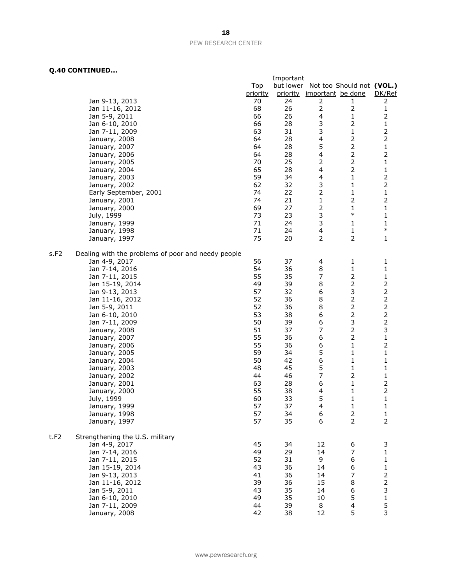|      |                                                    |          | Important |                                     |                |                         |
|------|----------------------------------------------------|----------|-----------|-------------------------------------|----------------|-------------------------|
|      |                                                    | Top      |           | but lower Not too Should not (VOL.) |                |                         |
|      |                                                    | priority |           | priority important be done          |                | DK/Ref                  |
|      | Jan 9-13, 2013                                     | 70       | 24        | 2                                   | 1              | 2                       |
|      | Jan 11-16, 2012                                    | 68       | 26        | $\mathbf 2$                         | 2              | 1                       |
|      | Jan 5-9, 2011                                      | 66       | 26        | 4                                   | 1              | 2                       |
|      | Jan 6-10, 2010                                     | 66       | 28        | 3                                   | 2              | $\mathbf 1$             |
|      | Jan 7-11, 2009                                     | 63       | 31        | 3                                   | 1              | $\overline{2}$          |
|      |                                                    | 64       | 28        | 4                                   | $\overline{2}$ | $\overline{2}$          |
|      | January, 2008                                      |          |           |                                     |                |                         |
|      | January, 2007                                      | 64       | 28        | 5                                   | $\overline{2}$ | $\mathbf 1$             |
|      | January, 2006                                      | 64       | 28        | 4                                   | $\overline{2}$ | $\overline{2}$          |
|      | January, 2005                                      | 70       | 25        | 2                                   | $\overline{2}$ | $\mathbf 1$             |
|      | January, 2004                                      | 65       | 28        | 4                                   | $\overline{2}$ | 1                       |
|      | January, 2003                                      | 59       | 34        | 4                                   | 1              | $\mathsf{2}\,$          |
|      | January, 2002                                      | 62       | 32        | 3                                   | 1              | $\mathbf 2$             |
|      | Early September, 2001                              | 74       | 22        | 2                                   | 1              | $\mathbf 1$             |
|      | January, 2001                                      | 74       | 21        | $\mathbf 1$                         | $\mathbf 2$    | $\overline{2}$          |
|      | January, 2000                                      | 69       | 27        | $\mathbf 2$                         | 1              | $\mathbf 1$             |
|      | July, 1999                                         | 73       | 23        | 3                                   | $\ast$         | $\mathbf 1$             |
|      | January, 1999                                      | 71       | 24        | 3                                   | 1              | 1                       |
|      | January, 1998                                      | 71       | 24        | $\overline{\mathbf{4}}$             | 1              | $\ast$                  |
|      | January, 1997                                      | 75       | 20        | $\overline{2}$                      | $\overline{2}$ | 1                       |
|      |                                                    |          |           |                                     |                |                         |
|      |                                                    |          |           |                                     |                |                         |
| s.F2 | Dealing with the problems of poor and needy people |          |           |                                     |                |                         |
|      | Jan 4-9, 2017                                      | 56       | 37        | 4                                   | 1              | 1                       |
|      | Jan 7-14, 2016                                     | 54       | 36        | 8                                   | 1              | 1                       |
|      | Jan 7-11, 2015                                     | 55       | 35        | 7                                   | $\overline{2}$ | 1                       |
|      | Jan 15-19, 2014                                    | 49       | 39        | 8                                   | $\overline{2}$ | $\overline{2}$          |
|      | Jan 9-13, 2013                                     | 57       | 32        | 6                                   | 3              | $\mathsf{2}$            |
|      | Jan 11-16, 2012                                    | 52       | 36        | 8                                   | $\overline{2}$ | $\mathbf 2$             |
|      | Jan 5-9, 2011                                      | 52       | 36        | 8                                   | $\overline{2}$ | $\mathbf 2$             |
|      | Jan 6-10, 2010                                     | 53       | 38        | 6                                   | $\overline{2}$ | $\overline{\mathbf{c}}$ |
|      | Jan 7-11, 2009                                     | 50       | 39        | 6                                   | 3              | $\mathbf 2$             |
|      | January, 2008                                      | 51       | 37        | 7                                   | 2              | 3                       |
|      | January, 2007                                      | 55       | 36        | 6                                   | $\overline{2}$ | $\mathbf{1}$            |
|      | January, 2006                                      | 55       | 36        | 6                                   | 1              | $\mathsf{2}$            |
|      | January, 2005                                      | 59       | 34        | 5                                   | 1              | $\mathbf{1}$            |
|      | January, 2004                                      | 50       | 42        | 6                                   | 1              | $\mathbf{1}$            |
|      |                                                    | 48       | 45        | 5                                   | 1              | $\mathbf 1$             |
|      | January, 2003                                      |          |           |                                     |                |                         |
|      | January, 2002                                      | 44       | 46        | 7                                   | 2              | 1                       |
|      | January, 2001                                      | 63       | 28        | 6                                   | 1              |                         |
|      | January, 2000                                      | 55       | 38        | 4                                   | 1              | $\overline{2}$          |
|      | July, 1999                                         | 60       | 33        | 5                                   | 1              | $\mathbf{1}$            |
|      | January, 1999                                      | 57       | 37        | 4                                   | 1              | 1                       |
|      | January, 1998                                      | 57       | 34        | 6                                   | $\overline{2}$ | $\mathbf 1$             |
|      | January, 1997                                      | 57       | 35        | 6                                   | $\overline{2}$ | $\overline{2}$          |
|      |                                                    |          |           |                                     |                |                         |
| t.F2 | Strengthening the U.S. military                    |          |           |                                     |                |                         |
|      | Jan 4-9, 2017                                      | 45       | 34        | 12                                  | 6              | 3                       |
|      | Jan 7-14, 2016                                     | 49       | 29        | 14                                  | 7              | $\mathbf{1}$            |
|      | Jan 7-11, 2015                                     | 52       | 31        | 9                                   | 6              | $\mathbf{1}$            |
|      | Jan 15-19, 2014                                    | 43       | 36        | 14                                  | 6              | $\mathbf{1}$            |
|      | Jan 9-13, 2013                                     | 41       | 36        | 14                                  | 7              | $\mathsf{2}$            |
|      | Jan 11-16, 2012                                    | 39       | 36        | 15                                  | 8              | $\overline{c}$          |
|      | Jan 5-9, 2011                                      | 43       | 35        | 14                                  | 6              | 3                       |
|      | Jan 6-10, 2010                                     | 49       | 35        | 10                                  | 5              | 1                       |
|      | Jan 7-11, 2009                                     | 44       | 39        | 8                                   | 4              | 5                       |
|      | January, 2008                                      | 42       | 38        | 12                                  | 5              | 3                       |
|      |                                                    |          |           |                                     |                |                         |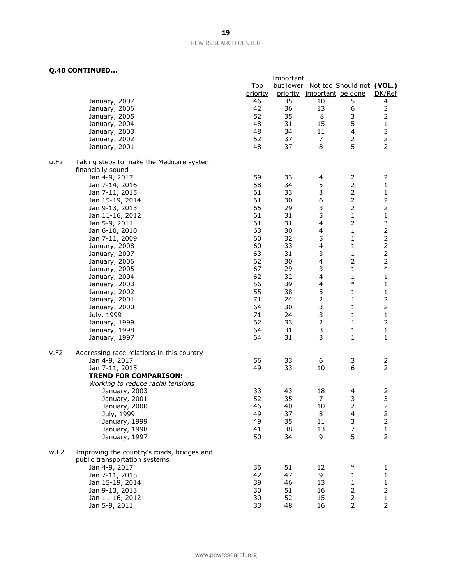|      |                                                                             | Important |    |                                     |                |                |  |  |
|------|-----------------------------------------------------------------------------|-----------|----|-------------------------------------|----------------|----------------|--|--|
|      |                                                                             | Top       |    | but lower Not too Should not (VOL.) |                |                |  |  |
|      |                                                                             | priority  |    | priority important be done          |                | DK/Ref         |  |  |
|      | January, 2007                                                               | 46        | 35 | 10                                  | 5              | 4              |  |  |
|      | January, 2006                                                               | 42        | 36 | 13                                  | 6              | 3              |  |  |
|      | January, 2005                                                               | 52        | 35 | 8                                   | 3              | $\overline{2}$ |  |  |
|      | January, 2004                                                               | 48        | 31 | 15                                  | 5              | $\mathbf 1$    |  |  |
|      |                                                                             | 48        | 34 | 11                                  | 4              | 3              |  |  |
|      | January, 2003                                                               |           |    |                                     |                | $\mathbf 2$    |  |  |
|      | January, 2002                                                               | 52        | 37 | 7                                   | $\overline{2}$ |                |  |  |
|      | January, 2001                                                               | 48        | 37 | 8                                   | 5              | $\overline{2}$ |  |  |
| u.F2 | Taking steps to make the Medicare system                                    |           |    |                                     |                |                |  |  |
|      | financially sound                                                           |           |    |                                     |                |                |  |  |
|      | Jan 4-9, 2017                                                               | 59        | 33 | 4                                   | $\overline{2}$ | $\overline{2}$ |  |  |
|      | Jan 7-14, 2016                                                              | 58        | 34 | 5                                   | $\mathbf 2$    | $\mathbf 1$    |  |  |
|      | Jan 7-11, 2015                                                              | 61        | 33 | 3                                   |                | $\mathbf 1$    |  |  |
|      | Jan 15-19, 2014                                                             | 61        | 30 | $\boldsymbol{6}$                    | $\overline{2}$ | $\mathbf 2$    |  |  |
|      | Jan 9-13, 2013                                                              | 65        | 29 | 3                                   | $\overline{2}$ | $\mathbf 2$    |  |  |
|      | Jan 11-16, 2012                                                             | 61        | 31 | 5                                   | $\mathbf{1}$   | $\mathbf 1$    |  |  |
|      | Jan 5-9, 2011                                                               | 61        | 31 | 4                                   | $\mathbf 2$    |                |  |  |
|      | Jan 6-10, 2010                                                              | 63        | 30 | 4                                   | $\mathbf{1}$   | $\frac{3}{2}$  |  |  |
|      | Jan 7-11, 2009                                                              | 60        | 32 | 5                                   | 1              | $\overline{c}$ |  |  |
|      | January, 2008                                                               | 60        | 33 | 4                                   | 1              | $\overline{a}$ |  |  |
|      | January, 2007                                                               | 63        | 31 | 3                                   | 1              | $\mathbf 2$    |  |  |
|      |                                                                             | 62        | 30 | $\overline{\mathbf{4}}$             | $\mathbf 2$    | $\overline{c}$ |  |  |
|      | January, 2006                                                               |           |    |                                     |                | $\ast$         |  |  |
|      | January, 2005                                                               | 67        | 29 | 3                                   | 1              |                |  |  |
|      | January, 2004                                                               | 62        | 32 | 4                                   | 1<br>$\ast$    | $\mathbf 1$    |  |  |
|      | January, 2003                                                               | 56        | 39 | 4                                   |                | $\mathbf 1$    |  |  |
|      | January, 2002                                                               | 55        | 38 | 5                                   | 1              | $\mathbf 1$    |  |  |
|      | January, 2001                                                               | 71        | 24 | $\overline{2}$                      | 1              | $\mathbf 2$    |  |  |
|      | January, 2000                                                               | 64        | 30 | 3                                   | $\mathbf{1}$   | $\overline{2}$ |  |  |
|      | July, 1999                                                                  | 71        | 24 | 3                                   | $\mathbf{1}$   | $\mathbf 1$    |  |  |
|      | January, 1999                                                               | 62        | 33 | $\overline{2}$                      | 1              | $\overline{2}$ |  |  |
|      | January, 1998                                                               | 64        | 31 | 3                                   | 1              | $\mathbf 1$    |  |  |
|      | January, 1997                                                               | 64        | 31 | 3                                   | $\mathbf{1}$   | $1\,$          |  |  |
| v.F2 | Addressing race relations in this country                                   |           |    |                                     |                |                |  |  |
|      | Jan 4-9, 2017                                                               | 56        | 33 | 6                                   | 3              | 2              |  |  |
|      | Jan 7-11, 2015                                                              | 49        | 33 | 10                                  | 6              | $\overline{2}$ |  |  |
|      | <b>TREND FOR COMPARISON:</b>                                                |           |    |                                     |                |                |  |  |
|      |                                                                             |           |    |                                     |                |                |  |  |
|      | Working to reduce racial tensions                                           |           |    |                                     |                |                |  |  |
|      | January, 2003                                                               | 33        | 43 | 18                                  | 4              | $\overline{c}$ |  |  |
|      | January, 2001                                                               | 52        | 35 | 7                                   | 3              | 3              |  |  |
|      | January, 2000                                                               | 46        | 40 | 10                                  | $\mathcal{P}$  |                |  |  |
|      | July, 1999                                                                  | 49        | 37 | 8                                   | 4              | $\mathbf 2$    |  |  |
|      | January, 1999                                                               | 49        | 35 | 11                                  | 3              | $\mathsf{2}\,$ |  |  |
|      | January, 1998                                                               | 41        | 38 | 13                                  | $\overline{7}$ | $\mathbf 1$    |  |  |
|      | January, 1997                                                               | 50        | 34 | 9                                   | 5              | $\mathbf 2$    |  |  |
| w.F2 | Improving the country's roads, bridges and<br>public transportation systems |           |    |                                     |                |                |  |  |
|      | Jan 4-9, 2017                                                               | 36        | 51 | 12                                  | $\ast$         | 1              |  |  |
|      | Jan 7-11, 2015                                                              | 42        | 47 | 9                                   | 1              | $\mathbf 1$    |  |  |
|      | Jan 15-19, 2014                                                             | 39        | 46 | 13                                  | 1              | $\mathbf 1$    |  |  |
|      | Jan 9-13, 2013                                                              | 30        | 51 | 16                                  | 2              | $\mathbf 2$    |  |  |
|      | Jan 11-16, 2012                                                             | 30        | 52 | 15                                  | 2              | $\mathbf 1$    |  |  |
|      | Jan 5-9, 2011                                                               | 33        | 48 | 16                                  | $\mathbf{2}$   | $\overline{2}$ |  |  |
|      |                                                                             |           |    |                                     |                |                |  |  |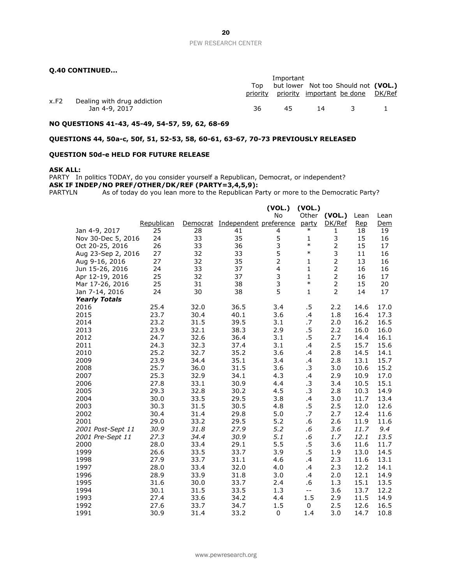#### **Q.40 CONTINUED...**

|      |                             |     | Important                           |    |                                            |  |  |  |  |
|------|-----------------------------|-----|-------------------------------------|----|--------------------------------------------|--|--|--|--|
|      |                             | Top | but lower Not too Should not (VOL.) |    |                                            |  |  |  |  |
|      |                             |     |                                     |    | priority priority important be done DK/Ref |  |  |  |  |
| x.F2 | Dealing with drug addiction |     |                                     |    |                                            |  |  |  |  |
|      | Jan 4-9, 2017               | 36  | 45.                                 | 14 | $\sim$ $\sim$                              |  |  |  |  |
|      |                             |     |                                     |    |                                            |  |  |  |  |

#### **NO QUESTIONS 41-43, 45-49, 54-57, 59, 62, 68-69**

#### **QUESTIONS 44, 50a-c, 50f, 51, 52-53, 58, 60-61, 63-67, 70-73 PREVIOUSLY RELEASED**

#### **QUESTION 50d-e HELD FOR FUTURE RELEASE**

#### **ASK ALL:**

PARTY In politics TODAY, do you consider yourself a Republican, Democrat, or independent? **ASK IF INDEP/NO PREF/OTHER/DK/REF (PARTY=3,4,5,9):**<br>PARTYLN As of today do you lean more to the Republican Pa

As of today do you lean more to the Republican Party or more to the Democratic Party?

|                      |            |          |                        | (VOL.)         | (VOL.)       |                |      |      |
|----------------------|------------|----------|------------------------|----------------|--------------|----------------|------|------|
|                      |            |          |                        | No             | Other        | (VOL.)         | Lean | Lean |
|                      | Republican | Democrat | Independent preference |                | party        | DK/Ref         | Rep  | Dem  |
| Jan 4-9, 2017        | 25         | 28       | 41                     | 4              | $\ast$       | 1              | 18   | 19   |
| Nov 30-Dec 5, 2016   | 24         | 33       | 35                     | 5              | 1            | 3              | 15   | 16   |
| Oct 20-25, 2016      | 26         | 33       | 36                     | 3              | $\ast$       | $\overline{2}$ | 15   | 17   |
| Aug 23-Sep 2, 2016   | 27         | 32       | 33                     | 5              | $\ast$       | 3              | 11   | 16   |
| Aug 9-16, 2016       | 27         | 32       | 35                     | $\overline{2}$ | 1            | $\overline{2}$ | 13   | 16   |
| Jun 15-26, 2016      | 24         | 33       | 37                     | $\overline{4}$ | $\mathbf{1}$ | $\overline{2}$ | 16   | 16   |
| Apr 12-19, 2016      | 25         | 32       | 37                     | 3              | $\mathbf{1}$ | $\overline{2}$ | 16   | 17   |
| Mar 17-26, 2016      | 25         | 31       | 38                     | 3              | $\ast$       | $\overline{2}$ | 15   | 20   |
| Jan 7-14, 2016       | 24         | 30       | 38                     | 5              | $\mathbf{1}$ | $\overline{2}$ | 14   | 17   |
| <b>Yearly Totals</b> |            |          |                        |                |              |                |      |      |
| 2016                 | 25.4       | 32.0     | 36.5                   | 3.4            | .5           | 2.2            | 14.6 | 17.0 |
| 2015                 | 23.7       | 30.4     | 40.1                   | 3.6            | .4           | 1.8            | 16.4 | 17.3 |
| 2014                 | 23.2       | 31.5     | 39.5                   | 3.1            | .7           | 2.0            | 16.2 | 16.5 |
| 2013                 | 23.9       | 32.1     | 38.3                   | 2.9            | .5           | 2.2            | 16.0 | 16.0 |
| 2012                 | 24.7       | 32.6     | 36.4                   | 3.1            | .5           | 2.7            | 14.4 | 16.1 |
| 2011                 | 24.3       | 32.3     | 37.4                   | 3.1            | .4           | 2.5            | 15.7 | 15.6 |
| 2010                 | 25.2       | 32.7     | 35.2                   | 3.6            | .4           | 2.8            | 14.5 | 14.1 |
| 2009                 | 23.9       | 34.4     | 35.1                   | 3.4            | .4           | 2.8            | 13.1 | 15.7 |
| 2008                 | 25.7       | 36.0     | 31.5                   | 3.6            | $\cdot$ 3    | 3.0            | 10.6 | 15.2 |
| 2007                 | 25.3       | 32.9     | 34.1                   | 4.3            | .4           | 2.9            | 10.9 | 17.0 |
| 2006                 | 27.8       | 33.1     | 30.9                   | 4.4            | .3           | 3.4            | 10.5 | 15.1 |
| 2005                 | 29.3       | 32.8     | 30.2                   | 4.5            | .3           | 2.8            | 10.3 | 14.9 |
| 2004                 | 30.0       | 33.5     | 29.5                   | 3.8            | $\cdot$      | 3.0            | 11.7 | 13.4 |
| 2003                 | 30.3       | 31.5     | 30.5                   | 4.8            | .5           | 2.5            | 12.0 | 12.6 |
| 2002                 | 30.4       | 31.4     | 29.8                   | 5.0            | .7           | 2.7            | 12.4 | 11.6 |
| 2001                 | 29.0       | 33.2     | 29.5                   | 5.2            | .6           | 2.6            | 11.9 | 11.6 |
| 2001 Post-Sept 11    | 30.9       | 31.8     | 27.9                   | 5.2            | .6           | 3.6            | 11.7 | 9.4  |
| 2001 Pre-Sept 11     | 27.3       | 34.4     | 30.9                   | 5.1            | $.6\,$       | 1.7            | 12.1 | 13.5 |
| 2000                 | 28.0       | 33.4     | 29.1                   | 5.5            | .5           | 3.6            | 11.6 | 11.7 |
| 1999                 | 26.6       | 33.5     | 33.7                   | 3.9            | .5           | 1.9            | 13.0 | 14.5 |
| 1998                 | 27.9       | 33.7     | 31.1                   | 4.6            | .4           | 2.3            | 11.6 | 13.1 |
| 1997                 | 28.0       | 33.4     | 32.0                   | 4.0            | .4           | 2.3            | 12.2 | 14.1 |
| 1996                 | 28.9       | 33.9     | 31.8                   | 3.0            | .4           | 2.0            | 12.1 | 14.9 |
| 1995                 | 31.6       | 30.0     | 33.7                   | 2.4            | .6           | 1.3            | 15.1 | 13.5 |
| 1994                 | 30.1       | 31.5     | 33.5                   | 1.3            | $- -$        | 3.6            | 13.7 | 12.2 |
| 1993                 | 27.4       | 33.6     | 34.2                   | 4.4            | 1.5          | 2.9            | 11.5 | 14.9 |
| 1992                 | 27.6       | 33.7     | 34.7                   | 1.5            | 0            | 2.5            | 12.6 | 16.5 |
| 1991                 | 30.9       | 31.4     | 33.2                   | $\mathbf 0$    | 1.4          | 3.0            | 14.7 | 10.8 |